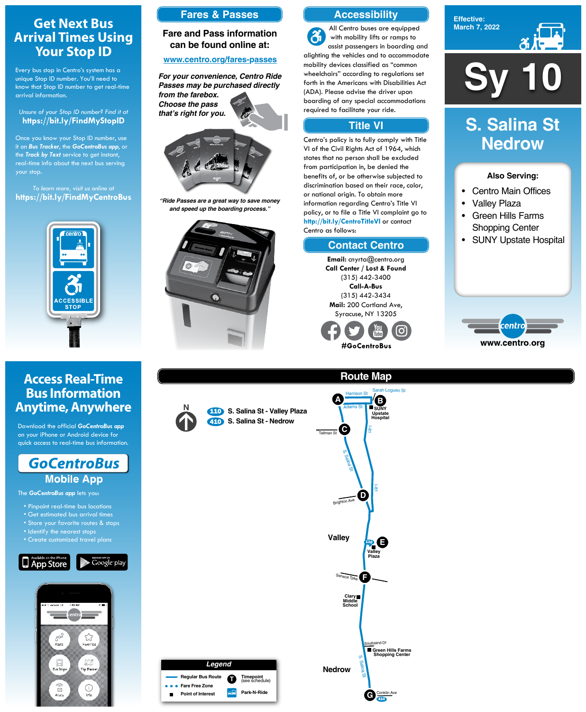# **Sy 10**

**Effective: March 7, 2022**



### **Also Serving:**

- Centro Main Offices
- Valley Plaza
- Green Hills Farms Shopping Center
- SUNY Upstate Hospital



### **Route Map** rah Loguen St

# **S. Salina St Nedrow**



# **Get Next Bus Arrival Times Using Your Stop ID**

Every bus stop in Centro's system has a unique Stop ID number. You'll need to know that Stop ID number to get real-time arrival information.

### *Unsure of your Stop ID number? Find it at* **https://bit.ly/FindMyStopID**

Once you know your Stop ID number, use it on *Bus Tracker*, the *GoCentroBus app*, or the *Track by Text* service to get instant, real-time info about the next bus serving your stop.

*To learn more, visit us online at* **https://bit.ly/FindMyCentroBus**



# **Access Real-Time Bus Information Anytime, Anywhere**

Download the official *GoCentroBus app* on your iPhone or Android device for quick access to real-time bus information.



The *GoCentroBus app* lets you:

- Pinpoint real-time bus locations
- Get estimated bus arrival times
- 



- Identify the nearest stops
- Create customized travel plans





## **Accessibility**

# **Contact Centro**

### **Title VI**

All Centro buses are equipped  $\mathbf{\hat{a}}$ with mobility lifts or ramps to assist passengers in boarding and alighting the vehicles and to accommodate mobility devices classified as "common wheelchairs" according to regulations set forth in the Americans with Disabilities Act (ADA). Please advise the driver upon boarding of any special accommodations required to facilitate your ride.

Centro's policy is to fully comply with Title VI of the Civil Rights Act of 1964, which states that no person shall be excluded from participation in, be denied the benefits of, or be otherwise subjected to discrimination based on their race, color, or national origin. To obtain more information regarding Centro's Title VI policy, or to file a Title VI complaint go to **http://bit.ly/CentroTitleVI** or contact Centro as follows:

> **Email:** cnyrta@centro.org **Call Center / Lost & Found** (315) 442-3400 **Call-A-Bus** (315) 442-3434 **Mail:** 200 Cortland Ave, Syracuse, NY 13205



# **Fares & Passes**

### **Fare and Pass information can be found online at:**

### **www.centro.org/fares-passes**



*"Ride Passes are a great way to save money and speed up the boarding process."*



*For your convenience, Centro Ride Passes may be purchased directly from the farebox. Choose the pass that's right for you.*